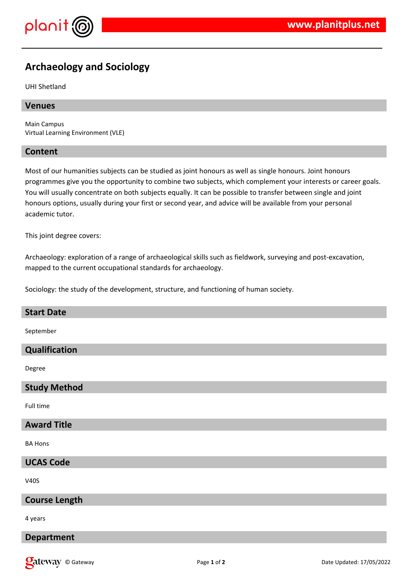

# **Archaeology and Sociology**

UHI Shetland

# **Venues**

Main Campus Virtual Learning Environment (VLE)

# **Content**

Most of our humanities subjects can be studied as joint honours as well as single honours. Joint honours programmes give you the opportunity to combine two subjects, which complement your interests or career goals. You will usually concentrate on both subjects equally. It can be possible to transfer between single and joint honours options, usually during your first or second year, and advice will be available from your personal academic tutor.

This joint degree covers:

Archaeology: exploration of a range of archaeological skills such as fieldwork, surveying and post-excavation, mapped to the current occupational standards for archaeology.

Sociology: the study of the development, structure, and functioning of human society.

## **Start Date**

September

# **Qualification**

Degree

#### **Study Method**

Full time

# **Award Title**

BA Hons

#### **UCAS Code**

V40S

#### **Course Length**

4 years

## **Department**